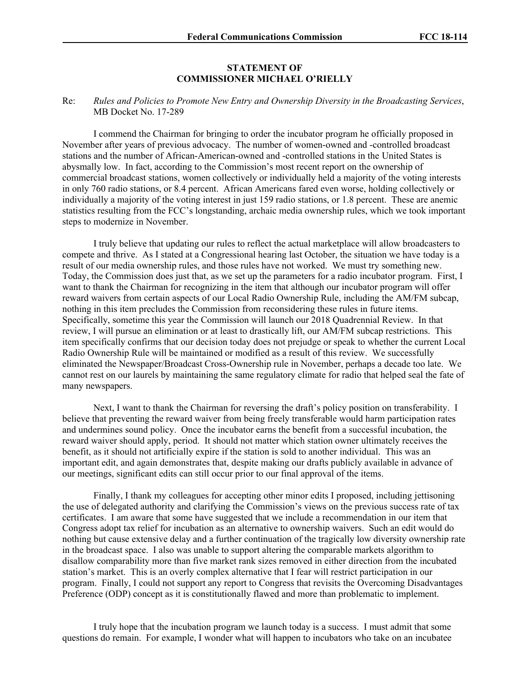## **STATEMENT OF COMMISSIONER MICHAEL O'RIELLY**

## Re: *Rules and Policies to Promote New Entry and Ownership Diversity in the Broadcasting Services*, MB Docket No. 17-289

I commend the Chairman for bringing to order the incubator program he officially proposed in November after years of previous advocacy. The number of women-owned and -controlled broadcast stations and the number of African-American-owned and -controlled stations in the United States is abysmally low. In fact, according to the Commission's most recent report on the ownership of commercial broadcast stations, women collectively or individually held a majority of the voting interests in only 760 radio stations, or 8.4 percent. African Americans fared even worse, holding collectively or individually a majority of the voting interest in just 159 radio stations, or 1.8 percent. These are anemic statistics resulting from the FCC's longstanding, archaic media ownership rules, which we took important steps to modernize in November.

I truly believe that updating our rules to reflect the actual marketplace will allow broadcasters to compete and thrive. As I stated at a Congressional hearing last October, the situation we have today is a result of our media ownership rules, and those rules have not worked. We must try something new. Today, the Commission does just that, as we set up the parameters for a radio incubator program. First, I want to thank the Chairman for recognizing in the item that although our incubator program will offer reward waivers from certain aspects of our Local Radio Ownership Rule, including the AM/FM subcap, nothing in this item precludes the Commission from reconsidering these rules in future items. Specifically, sometime this year the Commission will launch our 2018 Quadrennial Review. In that review, I will pursue an elimination or at least to drastically lift, our AM/FM subcap restrictions. This item specifically confirms that our decision today does not prejudge or speak to whether the current Local Radio Ownership Rule will be maintained or modified as a result of this review. We successfully eliminated the Newspaper/Broadcast Cross-Ownership rule in November, perhaps a decade too late. We cannot rest on our laurels by maintaining the same regulatory climate for radio that helped seal the fate of many newspapers.

Next, I want to thank the Chairman for reversing the draft's policy position on transferability. I believe that preventing the reward waiver from being freely transferable would harm participation rates and undermines sound policy. Once the incubator earns the benefit from a successful incubation, the reward waiver should apply, period. It should not matter which station owner ultimately receives the benefit, as it should not artificially expire if the station is sold to another individual. This was an important edit, and again demonstrates that, despite making our drafts publicly available in advance of our meetings, significant edits can still occur prior to our final approval of the items.

Finally, I thank my colleagues for accepting other minor edits I proposed, including jettisoning the use of delegated authority and clarifying the Commission's views on the previous success rate of tax certificates. I am aware that some have suggested that we include a recommendation in our item that Congress adopt tax relief for incubation as an alternative to ownership waivers. Such an edit would do nothing but cause extensive delay and a further continuation of the tragically low diversity ownership rate in the broadcast space. I also was unable to support altering the comparable markets algorithm to disallow comparability more than five market rank sizes removed in either direction from the incubated station's market. This is an overly complex alternative that I fear will restrict participation in our program. Finally, I could not support any report to Congress that revisits the Overcoming Disadvantages Preference (ODP) concept as it is constitutionally flawed and more than problematic to implement.

I truly hope that the incubation program we launch today is a success. I must admit that some questions do remain. For example, I wonder what will happen to incubators who take on an incubatee